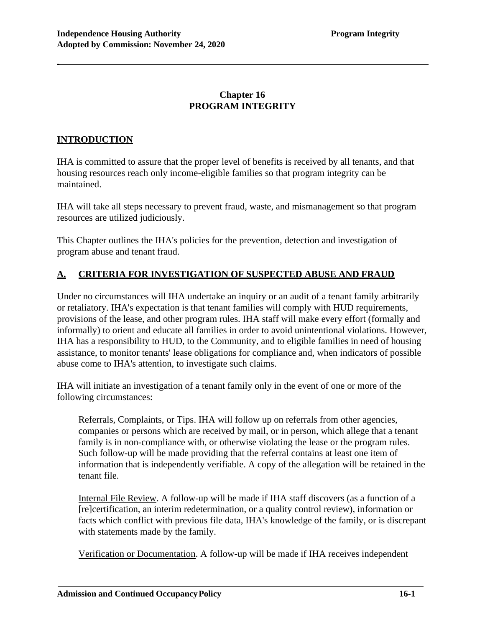# **Chapter 16 PROGRAM INTEGRITY**

## **INTRODUCTION**

-

IHA is committed to assure that the proper level of benefits is received by all tenants, and that housing resources reach only income-eligible families so that program integrity can be maintained.

IHA will take all steps necessary to prevent fraud, waste, and mismanagement so that program resources are utilized judiciously.

This Chapter outlines the IHA's policies for the prevention, detection and investigation of program abuse and tenant fraud.

## **A. CRITERIA FOR INVESTIGATION OF SUSPECTED ABUSE AND FRAUD**

Under no circumstances will IHA undertake an inquiry or an audit of a tenant family arbitrarily or retaliatory. IHA's expectation is that tenant families will comply with HUD requirements, provisions of the lease, and other program rules. IHA staff will make every effort (formally and informally) to orient and educate all families in order to avoid unintentional violations. However, IHA has a responsibility to HUD, to the Community, and to eligible families in need of housing assistance, to monitor tenants' lease obligations for compliance and, when indicators of possible abuse come to IHA's attention, to investigate such claims.

IHA will initiate an investigation of a tenant family only in the event of one or more of the following circumstances:

Referrals, Complaints, or Tips. IHA will follow up on referrals from other agencies, companies or persons which are received by mail, or in person, which allege that a tenant family is in non-compliance with, or otherwise violating the lease or the program rules. Such follow-up will be made providing that the referral contains at least one item of information that is independently verifiable. A copy of the allegation will be retained in the tenant file.

Internal File Review. A follow-up will be made if IHA staff discovers (as a function of a [re]certification, an interim redetermination, or a quality control review), information or facts which conflict with previous file data, IHA's knowledge of the family, or is discrepant with statements made by the family.

Verification or Documentation. A follow-up will be made if IHA receives independent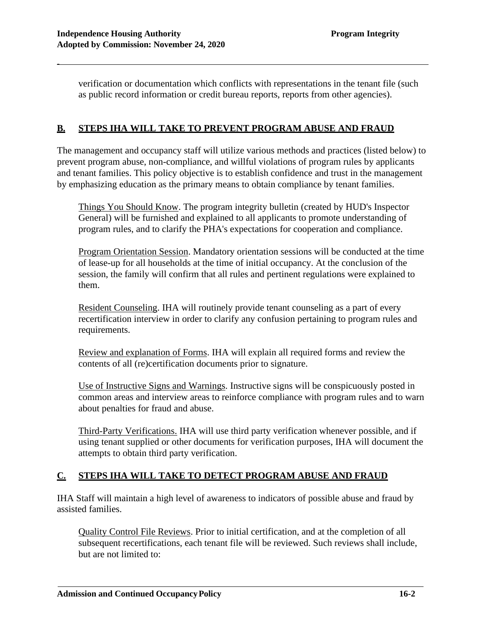verification or documentation which conflicts with representations in the tenant file (such as public record information or credit bureau reports, reports from other agencies).

## **B. STEPS IHA WILL TAKE TO PREVENT PROGRAM ABUSE AND FRAUD**

The management and occupancy staff will utilize various methods and practices (listed below) to prevent program abuse, non-compliance, and willful violations of program rules by applicants and tenant families. This policy objective is to establish confidence and trust in the management by emphasizing education as the primary means to obtain compliance by tenant families.

Things You Should Know. The program integrity bulletin (created by HUD's Inspector General) will be furnished and explained to all applicants to promote understanding of program rules, and to clarify the PHA's expectations for cooperation and compliance.

Program Orientation Session. Mandatory orientation sessions will be conducted at the time of lease-up for all households at the time of initial occupancy. At the conclusion of the session, the family will confirm that all rules and pertinent regulations were explained to them.

Resident Counseling. IHA will routinely provide tenant counseling as a part of every recertification interview in order to clarify any confusion pertaining to program rules and requirements.

Review and explanation of Forms. IHA will explain all required forms and review the contents of all (re)certification documents prior to signature.

Use of Instructive Signs and Warnings. Instructive signs will be conspicuously posted in common areas and interview areas to reinforce compliance with program rules and to warn about penalties for fraud and abuse.

Third-Party Verifications. IHA will use third party verification whenever possible, and if using tenant supplied or other documents for verification purposes, IHA will document the attempts to obtain third party verification.

### **C. STEPS IHA WILL TAKE TO DETECT PROGRAM ABUSE AND FRAUD**

IHA Staff will maintain a high level of awareness to indicators of possible abuse and fraud by assisted families.

Quality Control File Reviews. Prior to initial certification, and at the completion of all subsequent recertifications, each tenant file will be reviewed. Such reviews shall include, but are not limited to: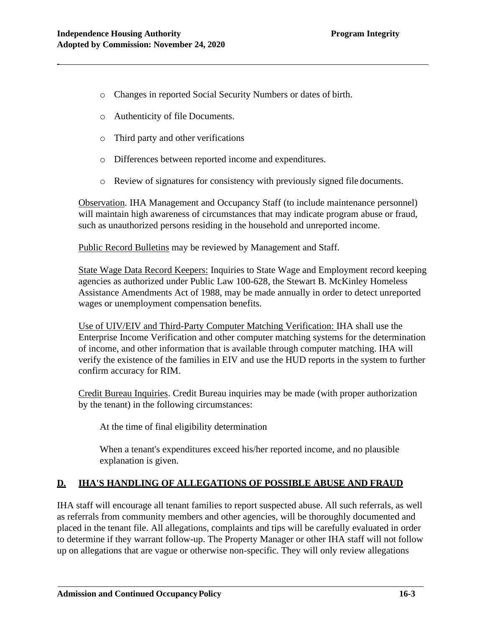- o Changes in reported Social Security Numbers or dates of birth.
- o Authenticity of file Documents.
- o Third party and other verifications
- o Differences between reported income and expenditures.
- o Review of signatures for consistency with previously signed file documents.

Observation. IHA Management and Occupancy Staff (to include maintenance personnel) will maintain high awareness of circumstances that may indicate program abuse or fraud, such as unauthorized persons residing in the household and unreported income.

Public Record Bulletins may be reviewed by Management and Staff.

State Wage Data Record Keepers: Inquiries to State Wage and Employment record keeping agencies as authorized under Public Law 100-628, the Stewart B. McKinley Homeless Assistance Amendments Act of 1988, may be made annually in order to detect unreported wages or unemployment compensation benefits.

Use of UIV/EIV and Third-Party Computer Matching Verification: IHA shall use the Enterprise Income Verification and other computer matching systems for the determination of income, and other information that is available through computer matching. IHA will verify the existence of the families in EIV and use the HUD reports in the system to further confirm accuracy for RIM.

Credit Bureau Inquiries. Credit Bureau inquiries may be made (with proper authorization by the tenant) in the following circumstances:

At the time of final eligibility determination

When a tenant's expenditures exceed his/her reported income, and no plausible explanation is given.

### **D. IHA'S HANDLING OF ALLEGATIONS OF POSSIBLE ABUSE AND FRAUD**

IHA staff will encourage all tenant families to report suspected abuse. All such referrals, as well as referrals from community members and other agencies, will be thoroughly documented and placed in the tenant file. All allegations, complaints and tips will be carefully evaluated in order to determine if they warrant follow-up. The Property Manager or other IHA staff will not follow up on allegations that are vague or otherwise non-specific. They will only review allegations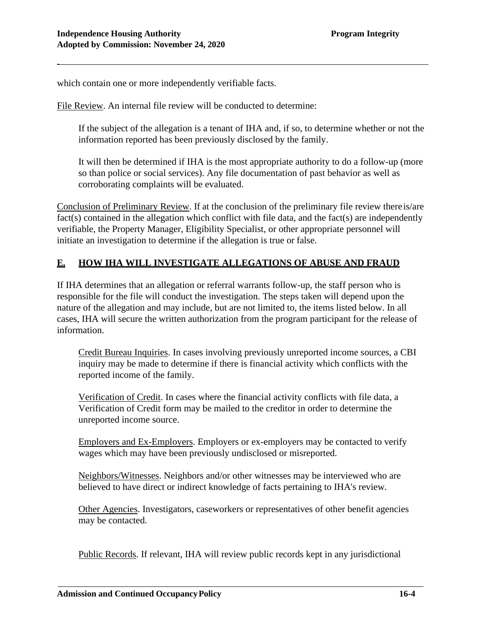which contain one or more independently verifiable facts.

File Review. An internal file review will be conducted to determine:

If the subject of the allegation is a tenant of IHA and, if so, to determine whether or not the information reported has been previously disclosed by the family.

It will then be determined if IHA is the most appropriate authority to do a follow-up (more so than police or social services). Any file documentation of past behavior as well as corroborating complaints will be evaluated.

Conclusion of Preliminary Review. If at the conclusion of the preliminary file review thereis/are fact(s) contained in the allegation which conflict with file data, and the fact(s) are independently verifiable, the Property Manager, Eligibility Specialist, or other appropriate personnel will initiate an investigation to determine if the allegation is true or false.

## **E. HOW IHA WILL INVESTIGATE ALLEGATIONS OF ABUSE AND FRAUD**

If IHA determines that an allegation or referral warrants follow-up, the staff person who is responsible for the file will conduct the investigation. The steps taken will depend upon the nature of the allegation and may include, but are not limited to, the items listed below. In all cases, IHA will secure the written authorization from the program participant for the release of information.

Credit Bureau Inquiries. In cases involving previously unreported income sources, a CBI inquiry may be made to determine if there is financial activity which conflicts with the reported income of the family.

Verification of Credit. In cases where the financial activity conflicts with file data, a Verification of Credit form may be mailed to the creditor in order to determine the unreported income source.

Employers and Ex-Employers. Employers or ex-employers may be contacted to verify wages which may have been previously undisclosed or misreported.

Neighbors/Witnesses. Neighbors and/or other witnesses may be interviewed who are believed to have direct or indirect knowledge of facts pertaining to IHA's review.

Other Agencies. Investigators, caseworkers or representatives of other benefit agencies may be contacted.

Public Records. If relevant, IHA will review public records kept in any jurisdictional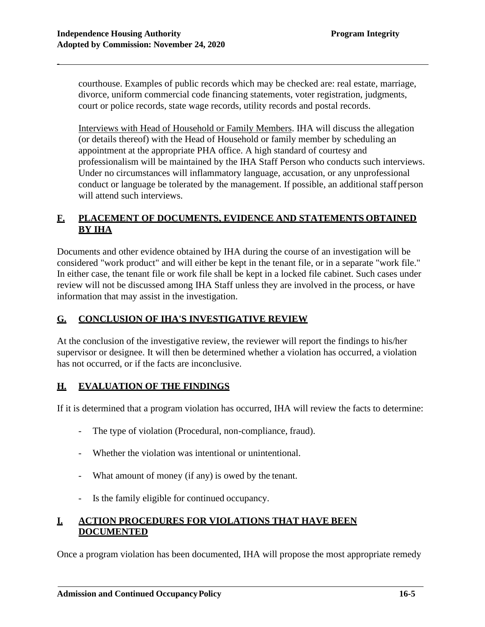courthouse. Examples of public records which may be checked are: real estate, marriage, divorce, uniform commercial code financing statements, voter registration, judgments, court or police records, state wage records, utility records and postal records.

Interviews with Head of Household or Family Members. IHA will discuss the allegation (or details thereof) with the Head of Household or family member by scheduling an appointment at the appropriate PHA office. A high standard of courtesy and professionalism will be maintained by the IHA Staff Person who conducts such interviews. Under no circumstances will inflammatory language, accusation, or any unprofessional conduct or language be tolerated by the management. If possible, an additional staffperson will attend such interviews.

## **F. PLACEMENT OF DOCUMENTS, EVIDENCE AND STATEMENTS OBTAINED BY IHA**

Documents and other evidence obtained by IHA during the course of an investigation will be considered "work product" and will either be kept in the tenant file, or in a separate "work file." In either case, the tenant file or work file shall be kept in a locked file cabinet. Such cases under review will not be discussed among IHA Staff unless they are involved in the process, or have information that may assist in the investigation.

### **G. CONCLUSION OF IHA'S INVESTIGATIVE REVIEW**

At the conclusion of the investigative review, the reviewer will report the findings to his/her supervisor or designee. It will then be determined whether a violation has occurred, a violation has not occurred, or if the facts are inconclusive.

### **H. EVALUATION OF THE FINDINGS**

If it is determined that a program violation has occurred, IHA will review the facts to determine:

- The type of violation (Procedural, non-compliance, fraud).
- Whether the violation was intentional or unintentional.
- What amount of money (if any) is owed by the tenant.
- Is the family eligible for continued occupancy.

## **I. ACTION PROCEDURES FOR VIOLATIONS THAT HAVE BEEN DOCUMENTED**

Once a program violation has been documented, IHA will propose the most appropriate remedy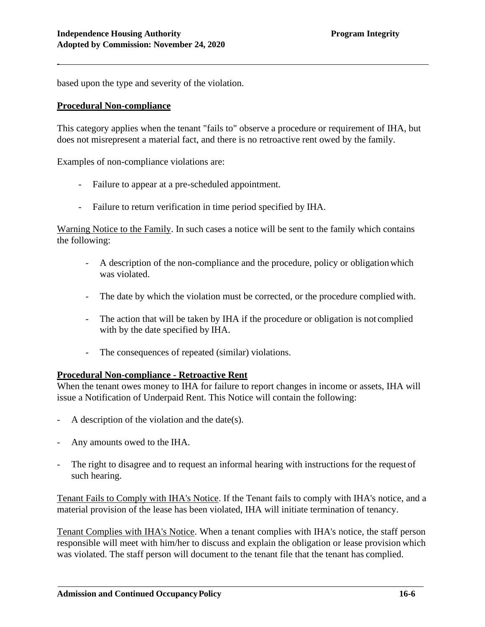based upon the type and severity of the violation.

#### **Procedural Non-compliance**

-

This category applies when the tenant "fails to" observe a procedure or requirement of IHA, but does not misrepresent a material fact, and there is no retroactive rent owed by the family.

Examples of non-compliance violations are:

- Failure to appear at a pre-scheduled appointment.
- Failure to return verification in time period specified by IHA.

Warning Notice to the Family. In such cases a notice will be sent to the family which contains the following:

- A description of the non-compliance and the procedure, policy or obligationwhich was violated.
- The date by which the violation must be corrected, or the procedure complied with.
- The action that will be taken by IHA if the procedure or obligation is not complied with by the date specified by IHA.
- The consequences of repeated (similar) violations.

### **Procedural Non-compliance - Retroactive Rent**

When the tenant owes money to IHA for failure to report changes in income or assets, IHA will issue a Notification of Underpaid Rent. This Notice will contain the following:

- A description of the violation and the date(s).
- Any amounts owed to the IHA.
- The right to disagree and to request an informal hearing with instructions for the request of such hearing.

Tenant Fails to Comply with IHA's Notice. If the Tenant fails to comply with IHA's notice, and a material provision of the lease has been violated, IHA will initiate termination of tenancy.

Tenant Complies with IHA's Notice. When a tenant complies with IHA's notice, the staff person responsible will meet with him/her to discuss and explain the obligation or lease provision which was violated. The staff person will document to the tenant file that the tenant has complied.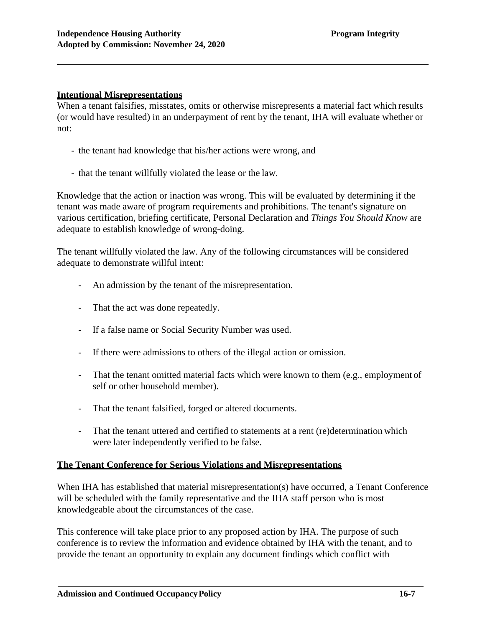#### **Intentional Misrepresentations**

-

When a tenant falsifies, misstates, omits or otherwise misrepresents a material fact which results (or would have resulted) in an underpayment of rent by the tenant, IHA will evaluate whether or not:

- the tenant had knowledge that his/her actions were wrong, and
- that the tenant willfully violated the lease or the law.

Knowledge that the action or inaction was wrong. This will be evaluated by determining if the tenant was made aware of program requirements and prohibitions. The tenant's signature on various certification, briefing certificate, Personal Declaration and *Things You Should Know* are adequate to establish knowledge of wrong-doing.

The tenant willfully violated the law. Any of the following circumstances will be considered adequate to demonstrate willful intent:

- An admission by the tenant of the misrepresentation.
- That the act was done repeatedly.
- If a false name or Social Security Number was used.
- If there were admissions to others of the illegal action or omission.
- That the tenant omitted material facts which were known to them (e.g., employment of self or other household member).
- That the tenant falsified, forged or altered documents.
- That the tenant uttered and certified to statements at a rent (re)determination which were later independently verified to be false.

### **The Tenant Conference for Serious Violations and Misrepresentations**

When IHA has established that material misrepresentation(s) have occurred, a Tenant Conference will be scheduled with the family representative and the IHA staff person who is most knowledgeable about the circumstances of the case.

This conference will take place prior to any proposed action by IHA. The purpose of such conference is to review the information and evidence obtained by IHA with the tenant, and to provide the tenant an opportunity to explain any document findings which conflict with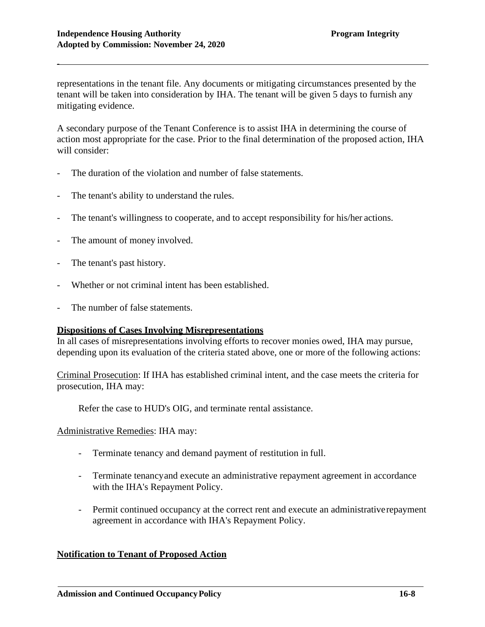representations in the tenant file. Any documents or mitigating circumstances presented by the tenant will be taken into consideration by IHA. The tenant will be given 5 days to furnish any mitigating evidence.

A secondary purpose of the Tenant Conference is to assist IHA in determining the course of action most appropriate for the case. Prior to the final determination of the proposed action, IHA will consider:

- The duration of the violation and number of false statements.
- The tenant's ability to understand the rules.
- The tenant's willingness to cooperate, and to accept responsibility for his/her actions.
- The amount of money involved.
- The tenant's past history.
- Whether or not criminal intent has been established.
- The number of false statements.

### **Dispositions of Cases Involving Misrepresentations**

In all cases of misrepresentations involving efforts to recover monies owed, IHA may pursue, depending upon its evaluation of the criteria stated above, one or more of the following actions:

Criminal Prosecution: If IHA has established criminal intent, and the case meets the criteria for prosecution, IHA may:

Refer the case to HUD's OIG, and terminate rental assistance.

Administrative Remedies: IHA may:

- Terminate tenancy and demand payment of restitution in full.
- Terminate tenancyand execute an administrative repayment agreement in accordance with the IHA's Repayment Policy.
- Permit continued occupancy at the correct rent and execute an administrative repayment agreement in accordance with IHA's Repayment Policy.

### **Notification to Tenant of Proposed Action**